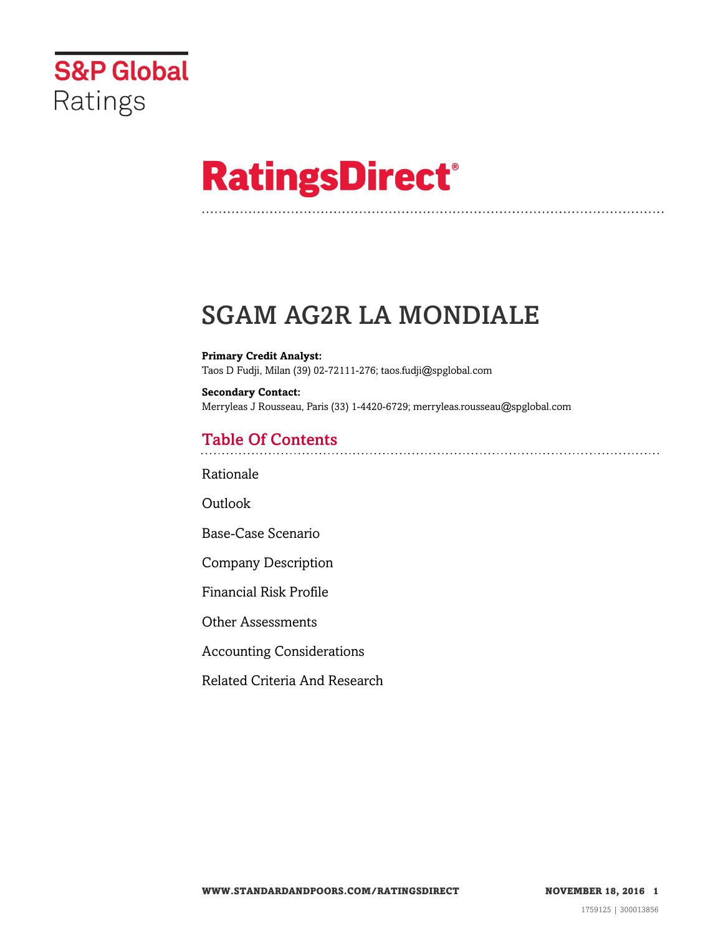

# **RatingsDirect®**

## SGAM AG2R LA MONDIALE

**Primary Credit Analyst:** Taos D Fudji, Milan (39) 02-72111-276; taos.fudji@spglobal.com

**Secondary Contact:** Merryleas J Rousseau, Paris (33) 1-4420-6729; merryleas.rousseau@spglobal.com

## Table Of Contents

[Rationale](#page-1-0)

Outlook

[Base-Case Scenario](#page-2-0)

[Company Description](#page-3-0)

[Financial Risk Profile](#page-5-0)

[Other Assessments](#page-9-0)

[Accounting Considerations](#page-9-1)

[Related Criteria And Research](#page-9-2)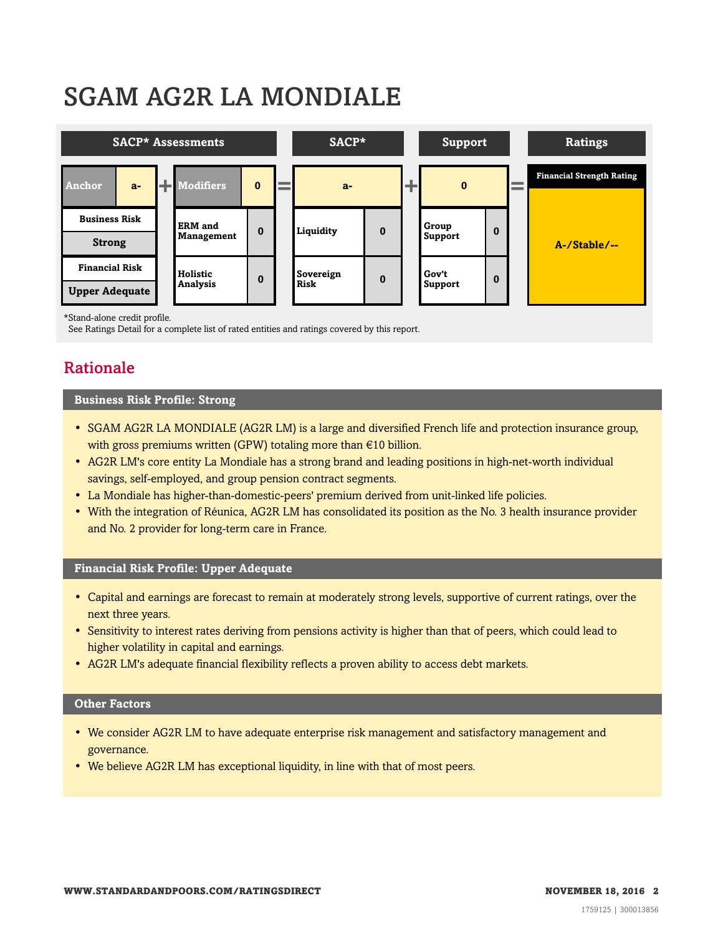## SGAM AG2R LA MONDIALE



\*Stand-alone credit profile.

<span id="page-1-0"></span>See Ratings Detail for a complete list of rated entities and ratings covered by this report.

## Rationale

#### **Business Risk Profile: Strong**

- SGAM AG2R LA MONDIALE (AG2R LM) is a large and diversified French life and protection insurance group, with gross premiums written (GPW) totaling more than €10 billion.
- AG2R LM's core entity La Mondiale has a strong brand and leading positions in high-net-worth individual savings, self-employed, and group pension contract segments.
- La Mondiale has higher-than-domestic-peers' premium derived from unit-linked life policies.
- With the integration of Réunica, AG2R LM has consolidated its position as the No. 3 health insurance provider and No. 2 provider for long-term care in France.

## **Financial Risk Profile: Upper Adequate**

- Capital and earnings are forecast to remain at moderately strong levels, supportive of current ratings, over the next three years.
- Sensitivity to interest rates deriving from pensions activity is higher than that of peers, which could lead to higher volatility in capital and earnings.
- AG2R LM's adequate financial flexibility reflects a proven ability to access debt markets.

## **Other Factors**

- We consider AG2R LM to have adequate enterprise risk management and satisfactory management and governance.
- We believe AG2R LM has exceptional liquidity, in line with that of most peers.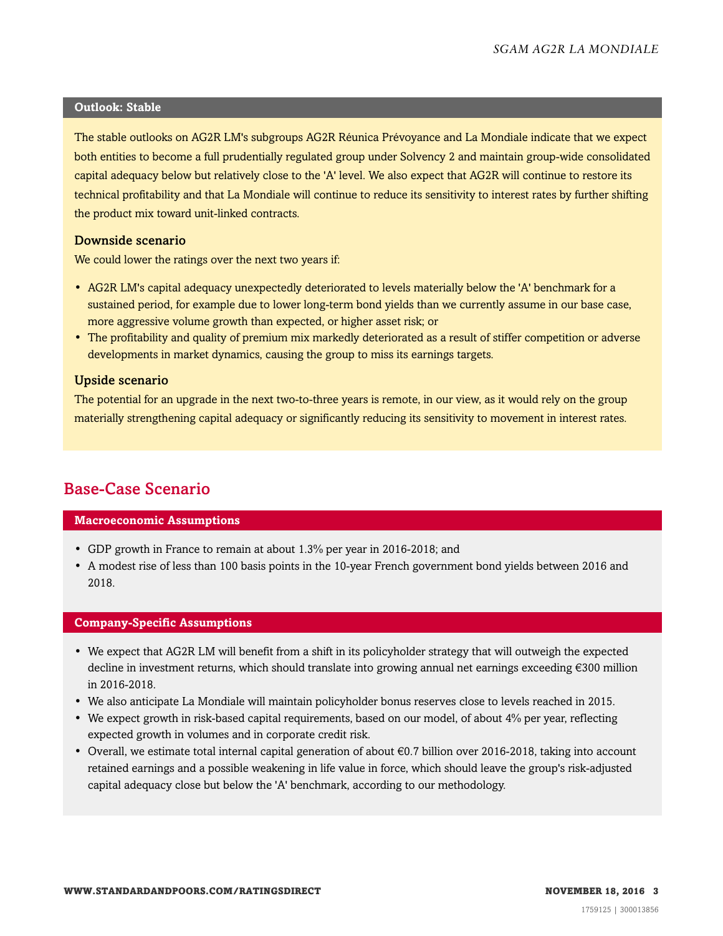### **Outlook: Stable**

The stable outlooks on AG2R LM's subgroups AG2R Réunica Prévoyance and La Mondiale indicate that we expect both entities to become a full prudentially regulated group under Solvency 2 and maintain group-wide consolidated capital adequacy below but relatively close to the 'A' level. We also expect that AG2R will continue to restore its technical profitability and that La Mondiale will continue to reduce its sensitivity to interest rates by further shifting the product mix toward unit-linked contracts.

## Downside scenario

We could lower the ratings over the next two years if:

- AG2R LM's capital adequacy unexpectedly deteriorated to levels materially below the 'A' benchmark for a sustained period, for example due to lower long-term bond yields than we currently assume in our base case, more aggressive volume growth than expected, or higher asset risk; or
- The profitability and quality of premium mix markedly deteriorated as a result of stiffer competition or adverse developments in market dynamics, causing the group to miss its earnings targets.

## Upside scenario

The potential for an upgrade in the next two-to-three years is remote, in our view, as it would rely on the group materially strengthening capital adequacy or significantly reducing its sensitivity to movement in interest rates.

## <span id="page-2-0"></span>Base-Case Scenario

## **Macroeconomic Assumptions**

- GDP growth in France to remain at about 1.3% per year in 2016-2018; and
- A modest rise of less than 100 basis points in the 10-year French government bond yields between 2016 and 2018.

### **Company-Specific Assumptions**

- We expect that AG2R LM will benefit from a shift in its policyholder strategy that will outweigh the expected decline in investment returns, which should translate into growing annual net earnings exceeding €300 million in 2016-2018.
- We also anticipate La Mondiale will maintain policyholder bonus reserves close to levels reached in 2015.
- We expect growth in risk-based capital requirements, based on our model, of about 4% per year, reflecting expected growth in volumes and in corporate credit risk.
- Overall, we estimate total internal capital generation of about  $\epsilon$ 0.7 billion over 2016-2018, taking into account retained earnings and a possible weakening in life value in force, which should leave the group's risk-adjusted capital adequacy close but below the 'A' benchmark, according to our methodology.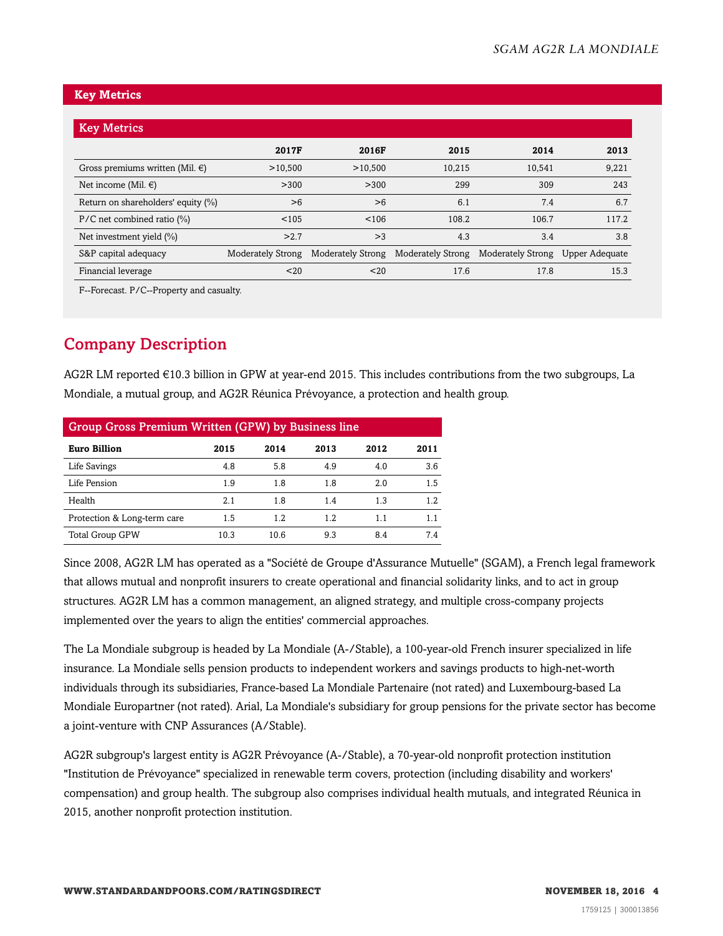## **Key Metrics**

| <b>Key Metrics</b>                   |                          |                          |                          |                          |                |
|--------------------------------------|--------------------------|--------------------------|--------------------------|--------------------------|----------------|
|                                      | 2017F                    | 2016F                    | 2015                     | 2014                     | 2013           |
| Gross premiums written (Mil. $\in$ ) | >10,500                  | >10,500                  | 10,215                   | 10,541                   | 9,221          |
| Net income (Mil. $\in$ )             | >300                     | >300                     | 299                      | 309                      | 243            |
| Return on shareholders' equity (%)   | >6                       | >6                       | 6.1                      | 7.4                      | 6.7            |
| $P/C$ net combined ratio $(\%)$      | < 105                    | < 106                    | 108.2                    | 106.7                    | 117.2          |
| Net investment yield $(\%)$          | >2.7                     | >3                       | 4.3                      | 3.4                      | 3.8            |
| S&P capital adequacy                 | <b>Moderately Strong</b> | <b>Moderately Strong</b> | <b>Moderately Strong</b> | <b>Moderately Strong</b> | Upper Adequate |
| Financial leverage                   | 20                       | 20                       | 17.6                     | 17.8                     | 15.3           |

F--Forecast. P/C--Property and casualty.

## <span id="page-3-0"></span>Company Description

AG2R LM reported €10.3 billion in GPW at year-end 2015. This includes contributions from the two subgroups, La Mondiale, a mutual group, and AG2R Réunica Prévoyance, a protection and health group.

| <b>Group Gross Premium Written (GPW) by Business line</b> |      |      |      |      |      |  |  |
|-----------------------------------------------------------|------|------|------|------|------|--|--|
| <b>Euro Billion</b>                                       | 2015 | 2014 | 2013 | 2012 | 2011 |  |  |
| Life Savings                                              | 4.8  | 5.8  | 4.9  | 4.0  | 3.6  |  |  |
| Life Pension                                              | 1.9  | 1.8  | 1.8  | 2.0  | 1.5  |  |  |
| Health                                                    | 2.1  | 1.8  | 1.4  | 1.3  | 1.2  |  |  |
| Protection & Long-term care                               | 1.5  | 1.2  | 1.2  | 1.1  | 1.1  |  |  |
| <b>Total Group GPW</b>                                    | 10.3 | 10.6 | 9.3  | 8.4  | 74   |  |  |

Since 2008, AG2R LM has operated as a "Société de Groupe d'Assurance Mutuelle" (SGAM), a French legal framework that allows mutual and nonprofit insurers to create operational and financial solidarity links, and to act in group structures. AG2R LM has a common management, an aligned strategy, and multiple cross-company projects implemented over the years to align the entities' commercial approaches.

The La Mondiale subgroup is headed by La Mondiale (A-/Stable), a 100-year-old French insurer specialized in life insurance. La Mondiale sells pension products to independent workers and savings products to high-net-worth individuals through its subsidiaries, France-based La Mondiale Partenaire (not rated) and Luxembourg-based La Mondiale Europartner (not rated). Arial, La Mondiale's subsidiary for group pensions for the private sector has become a joint-venture with CNP Assurances (A/Stable).

AG2R subgroup's largest entity is AG2R Prévoyance (A-/Stable), a 70-year-old nonprofit protection institution "Institution de Prévoyance" specialized in renewable term covers, protection (including disability and workers' compensation) and group health. The subgroup also comprises individual health mutuals, and integrated Réunica in 2015, another nonprofit protection institution.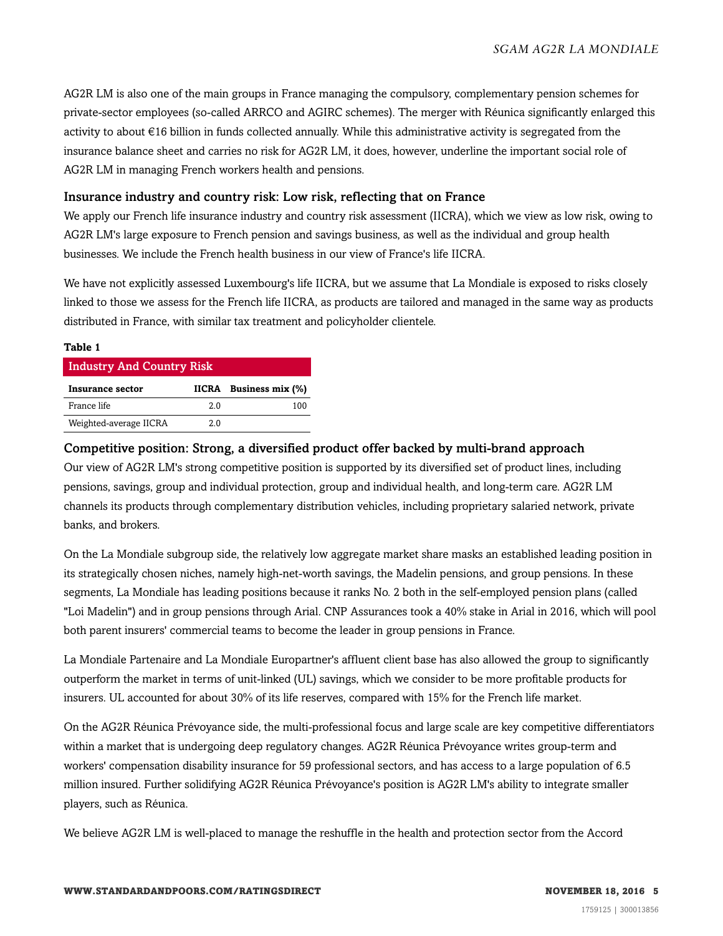AG2R LM is also one of the main groups in France managing the compulsory, complementary pension schemes for private-sector employees (so-called ARRCO and AGIRC schemes). The merger with Réunica significantly enlarged this activity to about €16 billion in funds collected annually. While this administrative activity is segregated from the insurance balance sheet and carries no risk for AG2R LM, it does, however, underline the important social role of AG2R LM in managing French workers health and pensions.

## Insurance industry and country risk: Low risk, reflecting that on France

We apply our French life insurance industry and country risk assessment (IICRA), which we view as low risk, owing to AG2R LM's large exposure to French pension and savings business, as well as the individual and group health businesses. We include the French health business in our view of France's life IICRA.

We have not explicitly assessed Luxembourg's life IICRA, but we assume that La Mondiale is exposed to risks closely linked to those we assess for the French life IICRA, as products are tailored and managed in the same way as products distributed in France, with similar tax treatment and policyholder clientele.

| <b>Industry And Country Risk</b> |     |                        |
|----------------------------------|-----|------------------------|
| Insurance sector                 |     | IICRA Business mix (%) |
| France life                      | 2 Q | 100                    |
| Weighted-average IICRA           | 2.0 |                        |

**Table 1**

## Competitive position: Strong, a diversified product offer backed by multi-brand approach

Our view of AG2R LM's strong competitive position is supported by its diversified set of product lines, including pensions, savings, group and individual protection, group and individual health, and long-term care. AG2R LM channels its products through complementary distribution vehicles, including proprietary salaried network, private banks, and brokers.

On the La Mondiale subgroup side, the relatively low aggregate market share masks an established leading position in its strategically chosen niches, namely high-net-worth savings, the Madelin pensions, and group pensions. In these segments, La Mondiale has leading positions because it ranks No. 2 both in the self-employed pension plans (called "Loi Madelin") and in group pensions through Arial. CNP Assurances took a 40% stake in Arial in 2016, which will pool both parent insurers' commercial teams to become the leader in group pensions in France.

La Mondiale Partenaire and La Mondiale Europartner's affluent client base has also allowed the group to significantly outperform the market in terms of unit-linked (UL) savings, which we consider to be more profitable products for insurers. UL accounted for about 30% of its life reserves, compared with 15% for the French life market.

On the AG2R Réunica Prévoyance side, the multi-professional focus and large scale are key competitive differentiators within a market that is undergoing deep regulatory changes. AG2R Réunica Prévoyance writes group-term and workers' compensation disability insurance for 59 professional sectors, and has access to a large population of 6.5 million insured. Further solidifying AG2R Réunica Prévoyance's position is AG2R LM's ability to integrate smaller players, such as Réunica.

We believe AG2R LM is well-placed to manage the reshuffle in the health and protection sector from the Accord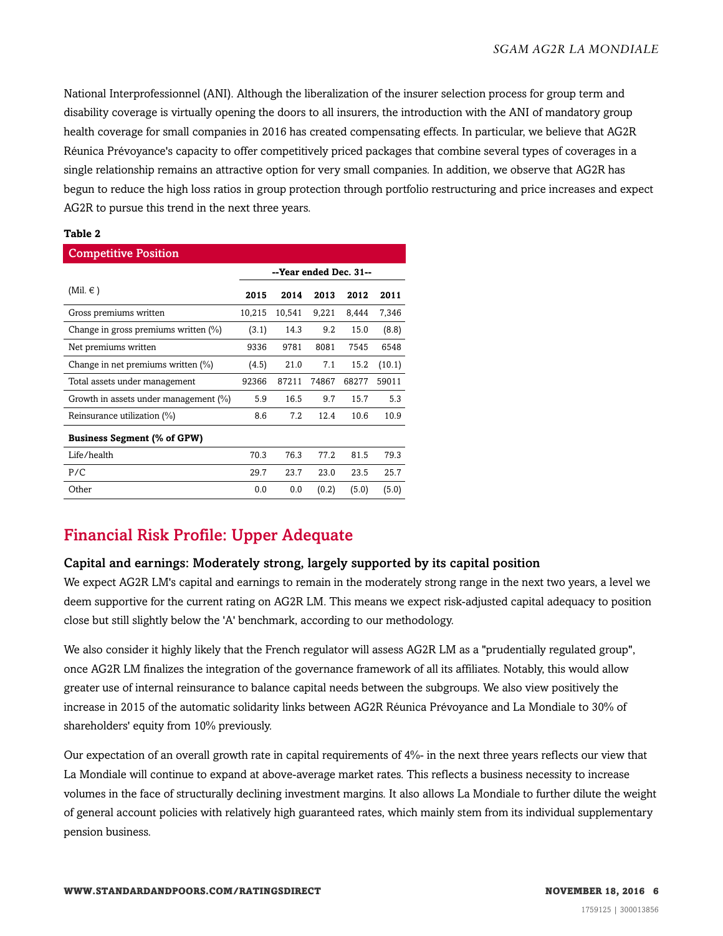National Interprofessionnel (ANI). Although the liberalization of the insurer selection process for group term and disability coverage is virtually opening the doors to all insurers, the introduction with the ANI of mandatory group health coverage for small companies in 2016 has created compensating effects. In particular, we believe that AG2R Réunica Prévoyance's capacity to offer competitively priced packages that combine several types of coverages in a single relationship remains an attractive option for very small companies. In addition, we observe that AG2R has begun to reduce the high loss ratios in group protection through portfolio restructuring and price increases and expect AG2R to pursue this trend in the next three years.

### **Table 2**

| <b>Competitive Position</b>           |                        |        |       |       |        |  |  |
|---------------------------------------|------------------------|--------|-------|-------|--------|--|--|
|                                       | --Year ended Dec. 31-- |        |       |       |        |  |  |
| (Mil. $\in$ )                         | 2015                   | 2014   | 2013  | 2012  | 2011   |  |  |
| Gross premiums written                | 10,215                 | 10,541 | 9,221 | 8,444 | 7,346  |  |  |
| Change in gross premiums written (%)  | (3.1)                  | 14.3   | 9.2   | 15.0  | (8.8)  |  |  |
| Net premiums written                  | 9336                   | 9781   | 8081  | 7545  | 6548   |  |  |
| Change in net premiums written (%)    | (4.5)                  | 21.0   | 7.1   | 15.2  | (10.1) |  |  |
| Total assets under management         | 92366                  | 87211  | 74867 | 68277 | 59011  |  |  |
| Growth in assets under management (%) | 5.9                    | 16.5   | 9.7   | 15.7  | 5.3    |  |  |
| Reinsurance utilization (%)           | 8.6                    | 7.2    | 12.4  | 10.6  | 10.9   |  |  |
| <b>Business Segment (% of GPW)</b>    |                        |        |       |       |        |  |  |
| Life/health                           | 70.3                   | 76.3   | 77.2  | 81.5  | 79.3   |  |  |
| P/C                                   | 29.7                   | 23.7   | 23.0  | 23.5  | 25.7   |  |  |
| Other                                 | 0.0                    | 0.0    | (0.2) | (5.0) | (5.0)  |  |  |

## <span id="page-5-0"></span>Financial Risk Profile: Upper Adequate

## Capital and earnings: Moderately strong, largely supported by its capital position

We expect AG2R LM's capital and earnings to remain in the moderately strong range in the next two years, a level we deem supportive for the current rating on AG2R LM. This means we expect risk-adjusted capital adequacy to position close but still slightly below the 'A' benchmark, according to our methodology.

We also consider it highly likely that the French regulator will assess AG2R LM as a "prudentially regulated group", once AG2R LM finalizes the integration of the governance framework of all its affiliates. Notably, this would allow greater use of internal reinsurance to balance capital needs between the subgroups. We also view positively the increase in 2015 of the automatic solidarity links between AG2R Réunica Prévoyance and La Mondiale to 30% of shareholders' equity from 10% previously.

Our expectation of an overall growth rate in capital requirements of 4%- in the next three years reflects our view that La Mondiale will continue to expand at above-average market rates. This reflects a business necessity to increase volumes in the face of structurally declining investment margins. It also allows La Mondiale to further dilute the weight of general account policies with relatively high guaranteed rates, which mainly stem from its individual supplementary pension business.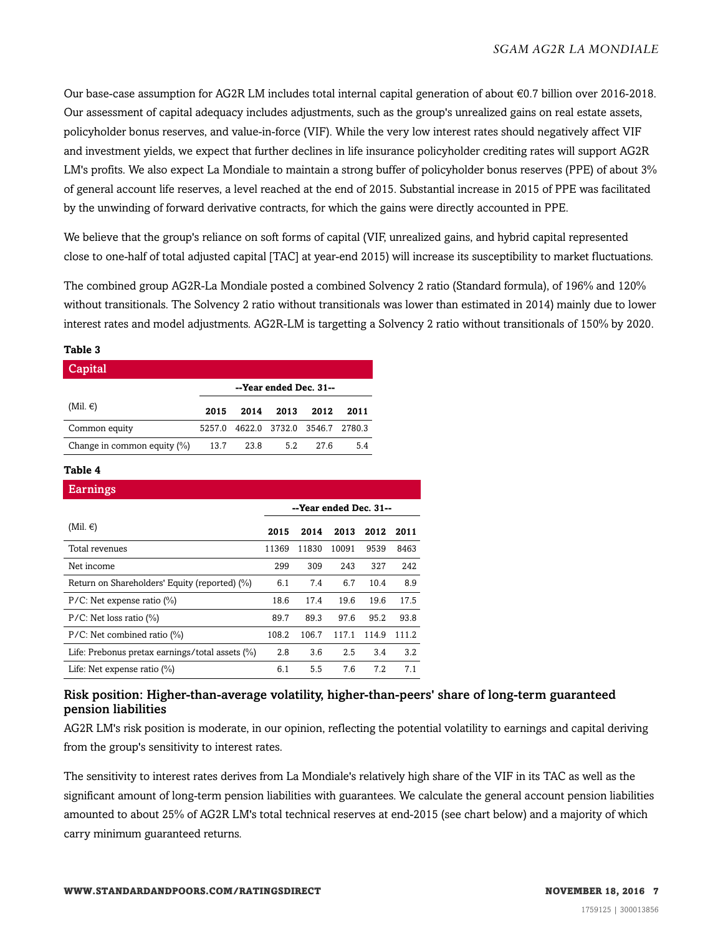Our base-case assumption for AG2R LM includes total internal capital generation of about €0.7 billion over 2016-2018. Our assessment of capital adequacy includes adjustments, such as the group's unrealized gains on real estate assets, policyholder bonus reserves, and value-in-force (VIF). While the very low interest rates should negatively affect VIF and investment yields, we expect that further declines in life insurance policyholder crediting rates will support AG2R LM's profits. We also expect La Mondiale to maintain a strong buffer of policyholder bonus reserves (PPE) of about 3% of general account life reserves, a level reached at the end of 2015. Substantial increase in 2015 of PPE was facilitated by the unwinding of forward derivative contracts, for which the gains were directly accounted in PPE.

We believe that the group's reliance on soft forms of capital (VIF, unrealized gains, and hybrid capital represented close to one-half of total adjusted capital [TAC] at year-end 2015) will increase its susceptibility to market fluctuations.

The combined group AG2R-La Mondiale posted a combined Solvency 2 ratio (Standard formula), of 196% and 120% without transitionals. The Solvency 2 ratio without transitionals was lower than estimated in 2014) mainly due to lower interest rates and model adjustments. AG2R-LM is targetting a Solvency 2 ratio without transitionals of 150% by 2020.

#### **Table 3**

| Capital                        |        |                             |                        |      |      |
|--------------------------------|--------|-----------------------------|------------------------|------|------|
|                                |        |                             | --Year ended Dec. 31-- |      |      |
| $(Mil. \in)$                   | 2015   | 2014                        | 2013                   | 2012 | 2011 |
| Common equity                  | 5257.0 | 4622.0 3732.0 3546.7 2780.3 |                        |      |      |
| Change in common equity $(\%)$ | 13.7   | 23.8                        | 5.2                    | 276  | 5.4  |

#### **Table 4**

| Earnings                                           |       |                        |       |       |       |
|----------------------------------------------------|-------|------------------------|-------|-------|-------|
|                                                    |       | --Year ended Dec. 31-- |       |       |       |
| (Mil. $\in$ )                                      | 2015  | 2014                   | 2013  | 2012  | 2011  |
| Total revenues                                     | 11369 | 11830                  | 10091 | 9539  | 8463  |
| Net income                                         | 299   | 309                    | 243   | 327   | 242   |
| Return on Shareholders' Equity (reported) (%)      | 6.1   | 7.4                    | 6.7   | 10.4  | 8.9   |
| $P/C$ : Net expense ratio $(\%)$                   | 18.6  | 17.4                   | 19.6  | 19.6  | 17.5  |
| $P/C$ : Net loss ratio $(\%)$                      | 89.7  | 89.3                   | 97.6  | 95.2  | 93.8  |
| $P/C$ : Net combined ratio $(\%)$                  | 108.2 | 106.7                  | 117.1 | 114.9 | 111.2 |
| Life: Prebonus pretax earnings/total assets $(\%)$ | 2.8   | 3.6                    | 2.5   | 3.4   | 3.2   |
| Life: Net expense ratio $(\%)$                     | 6.1   | 5.5                    | 7.6   | 7.2   | 7.1   |

## Risk position: Higher-than-average volatility, higher-than-peers' share of long-term guaranteed pension liabilities

AG2R LM's risk position is moderate, in our opinion, reflecting the potential volatility to earnings and capital deriving from the group's sensitivity to interest rates.

The sensitivity to interest rates derives from La Mondiale's relatively high share of the VIF in its TAC as well as the significant amount of long-term pension liabilities with guarantees. We calculate the general account pension liabilities amounted to about 25% of AG2R LM's total technical reserves at end-2015 (see chart below) and a majority of which carry minimum guaranteed returns.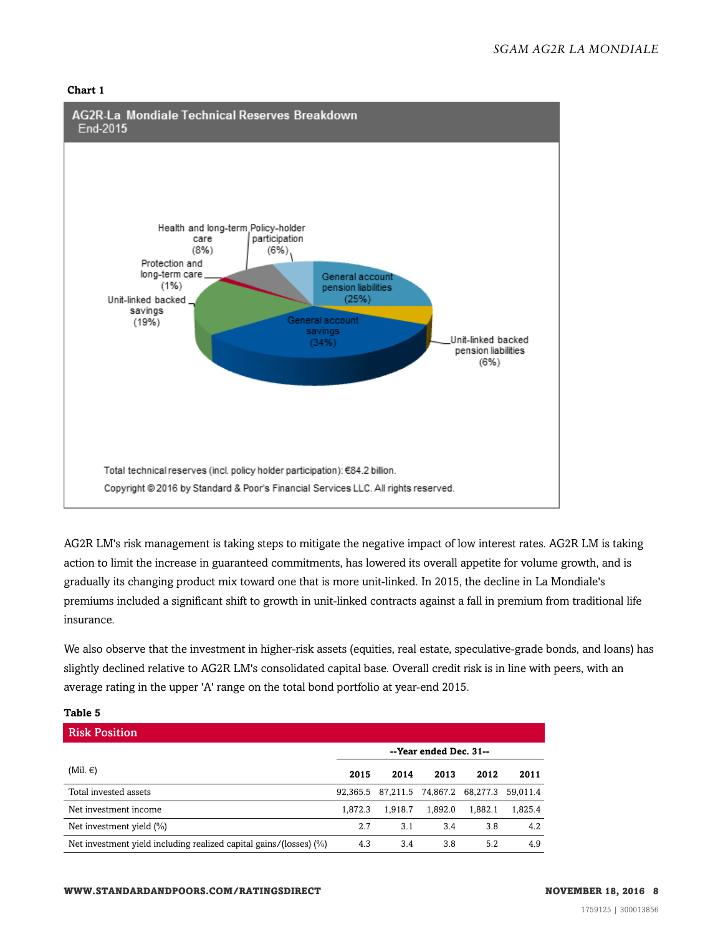#### **Chart 1**



AG2R LM's risk management is taking steps to mitigate the negative impact of low interest rates. AG2R LM is taking action to limit the increase in guaranteed commitments, has lowered its overall appetite for volume growth, and is gradually its changing product mix toward one that is more unit-linked. In 2015, the decline in La Mondiale's premiums included a significant shift to growth in unit-linked contracts against a fall in premium from traditional life insurance.

We also observe that the investment in higher-risk assets (equities, real estate, speculative-grade bonds, and loans) has slightly declined relative to AG2R LM's consolidated capital base. Overall credit risk is in line with peers, with an average rating in the upper 'A' range on the total bond portfolio at year-end 2015.

| tavic J                                                            |          |         |                            |         |          |
|--------------------------------------------------------------------|----------|---------|----------------------------|---------|----------|
| <b>Risk Position</b>                                               |          |         |                            |         |          |
|                                                                    |          |         | --Year ended Dec. 31--     |         |          |
| (Mil. $\in$ )                                                      | 2015     | 2014    | 2013                       | 2012    | 2011     |
| Total invested assets                                              | 92.365.5 |         | 87,211.5 74,867.2 68,277.3 |         | 59.011.4 |
| Net investment income                                              | 1.872.3  | 1.918.7 | 1.892.0                    | 1.882.1 | 1,825.4  |
| Net investment yield $(\% )$                                       | 2.7      | 3.1     | 3.4                        | 3.8     | 4.2      |
| Net investment yield including realized capital gains/(losses) (%) | 4.3      | 3.4     | 3.8                        | 5.2     | 4.9      |

## **Table 5**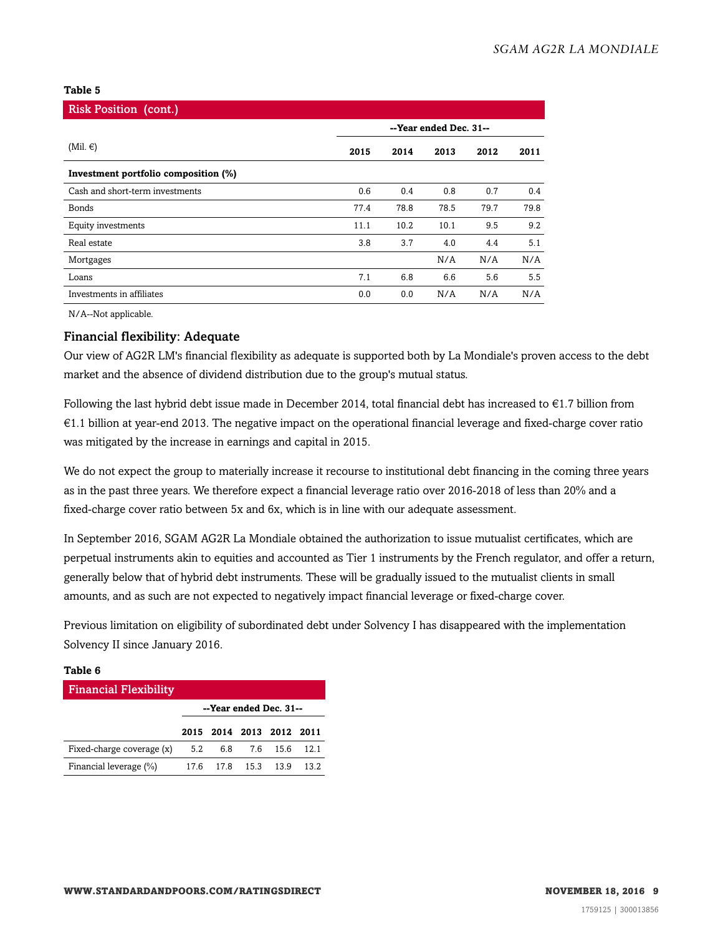#### **Table 5**

| <b>Risk Position (cont.)</b>         |                        |      |      |      |      |
|--------------------------------------|------------------------|------|------|------|------|
|                                      | --Year ended Dec. 31-- |      |      |      |      |
| $(Mil. \epsilon)$                    | 2015                   | 2014 | 2013 | 2012 | 2011 |
| Investment portfolio composition (%) |                        |      |      |      |      |
| Cash and short-term investments      | 0.6                    | 0.4  | 0.8  | 0.7  | 0.4  |
| <b>Bonds</b>                         | 77.4                   | 78.8 | 78.5 | 79.7 | 79.8 |
| Equity investments                   | 11.1                   | 10.2 | 10.1 | 9.5  | 9.2  |
| Real estate                          | 3.8                    | 3.7  | 4.0  | 4.4  | 5.1  |
| Mortgages                            |                        |      | N/A  | N/A  | N/A  |
| Loans                                | 7.1                    | 6.8  | 6.6  | 5.6  | 5.5  |
| Investments in affiliates            | 0.0                    | 0.0  | N/A  | N/A  | N/A  |

N/A--Not applicable.

## Financial flexibility: Adequate

Our view of AG2R LM's financial flexibility as adequate is supported both by La Mondiale's proven access to the debt market and the absence of dividend distribution due to the group's mutual status.

Following the last hybrid debt issue made in December 2014, total financial debt has increased to €1.7 billion from €1.1 billion at year-end 2013. The negative impact on the operational financial leverage and fixed-charge cover ratio was mitigated by the increase in earnings and capital in 2015.

We do not expect the group to materially increase it recourse to institutional debt financing in the coming three years as in the past three years. We therefore expect a financial leverage ratio over 2016-2018 of less than 20% and a fixed-charge cover ratio between 5x and 6x, which is in line with our adequate assessment.

In September 2016, SGAM AG2R La Mondiale obtained the authorization to issue mutualist certificates, which are perpetual instruments akin to equities and accounted as Tier 1 instruments by the French regulator, and offer a return, generally below that of hybrid debt instruments. These will be gradually issued to the mutualist clients in small amounts, and as such are not expected to negatively impact financial leverage or fixed-charge cover.

Previous limitation on eligibility of subordinated debt under Solvency I has disappeared with the implementation Solvency II since January 2016.

#### **Table 6**

| <b>Financial Flexibility</b> |     |                     |                          |      |
|------------------------------|-----|---------------------|--------------------------|------|
|                              |     |                     | --Year ended Dec. 31--   |      |
|                              |     |                     | 2015 2014 2013 2012 2011 |      |
| Fixed-charge coverage (x)    | 5.2 | 6.8 7.6             | 15.6                     | 12.1 |
| Financial leverage (%)       |     | 17.6 17.8 15.3 13.9 |                          | 13.2 |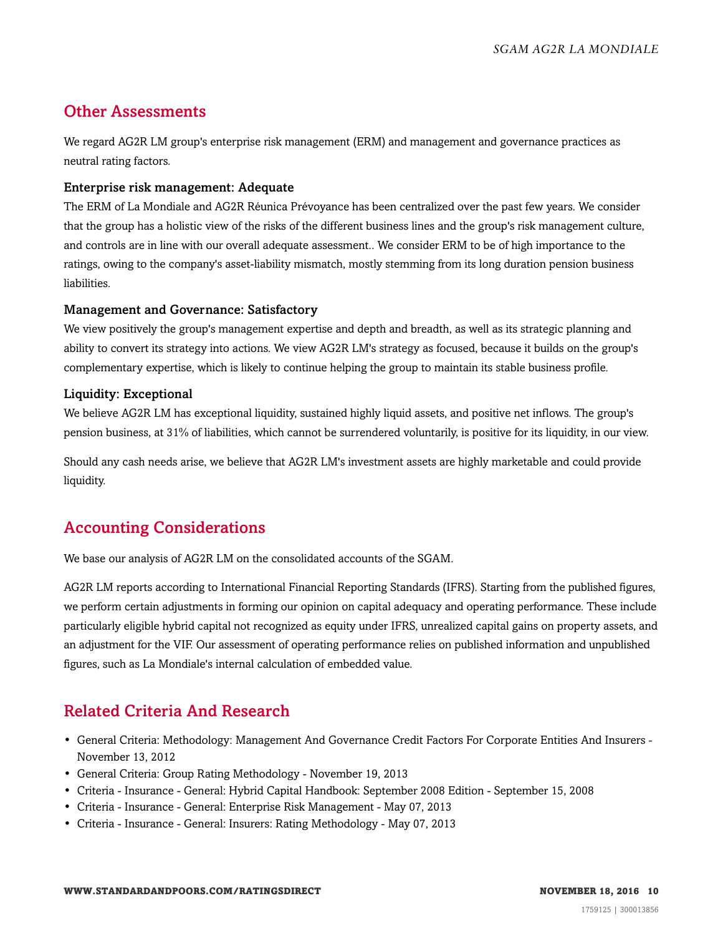## <span id="page-9-0"></span>Other Assessments

We regard AG2R LM group's enterprise risk management (ERM) and management and governance practices as neutral rating factors.

## Enterprise risk management: Adequate

The ERM of La Mondiale and AG2R Réunica Prévoyance has been centralized over the past few years. We consider that the group has a holistic view of the risks of the different business lines and the group's risk management culture, and controls are in line with our overall adequate assessment.. We consider ERM to be of high importance to the ratings, owing to the company's asset-liability mismatch, mostly stemming from its long duration pension business liabilities.

## Management and Governance: Satisfactory

We view positively the group's management expertise and depth and breadth, as well as its strategic planning and ability to convert its strategy into actions. We view AG2R LM's strategy as focused, because it builds on the group's complementary expertise, which is likely to continue helping the group to maintain its stable business profile.

## Liquidity: Exceptional

We believe AG2R LM has exceptional liquidity, sustained highly liquid assets, and positive net inflows. The group's pension business, at 31% of liabilities, which cannot be surrendered voluntarily, is positive for its liquidity, in our view.

Should any cash needs arise, we believe that AG2R LM's investment assets are highly marketable and could provide liquidity.

## <span id="page-9-1"></span>Accounting Considerations

We base our analysis of AG2R LM on the consolidated accounts of the SGAM.

AG2R LM reports according to International Financial Reporting Standards (IFRS). Starting from the published figures, we perform certain adjustments in forming our opinion on capital adequacy and operating performance. These include particularly eligible hybrid capital not recognized as equity under IFRS, unrealized capital gains on property assets, and an adjustment for the VIF. Our assessment of operating performance relies on published information and unpublished figures, such as La Mondiale's internal calculation of embedded value.

## <span id="page-9-2"></span>Related Criteria And Research

- General Criteria: Methodology: Management And Governance Credit Factors For Corporate Entities And Insurers November 13, 2012
- General Criteria: Group Rating Methodology November 19, 2013
- Criteria Insurance General: Hybrid Capital Handbook: September 2008 Edition September 15, 2008
- Criteria Insurance General: Enterprise Risk Management May 07, 2013
- Criteria Insurance General: Insurers: Rating Methodology May 07, 2013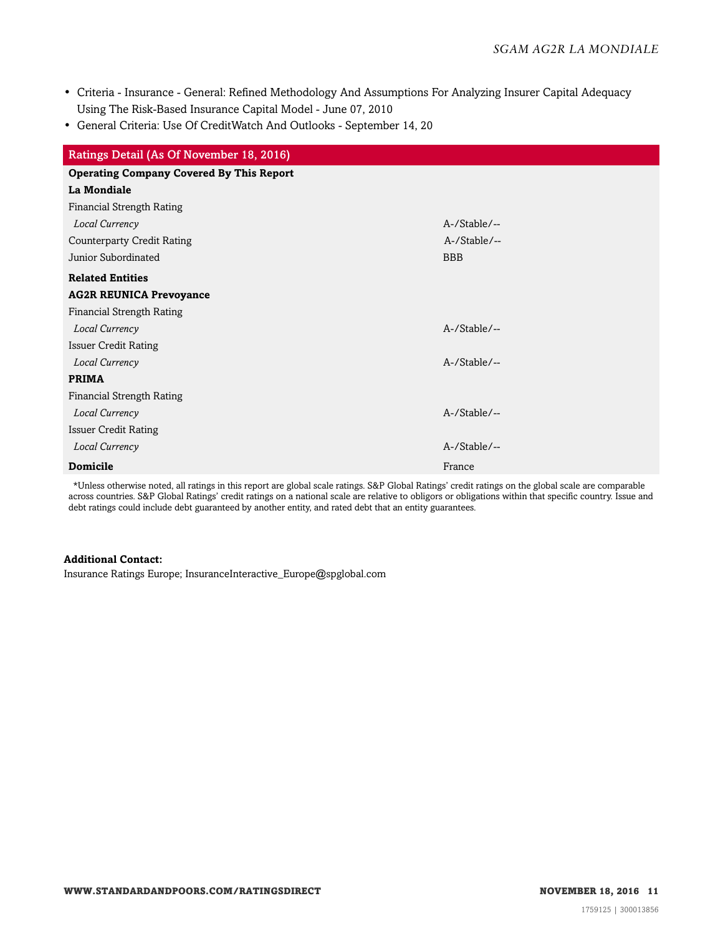- Criteria Insurance General: Refined Methodology And Assumptions For Analyzing Insurer Capital Adequacy Using The Risk-Based Insurance Capital Model - June 07, 2010
- General Criteria: Use Of CreditWatch And Outlooks September 14, 20

| Ratings Detail (As Of November 18, 2016)        |              |
|-------------------------------------------------|--------------|
| <b>Operating Company Covered By This Report</b> |              |
| La Mondiale                                     |              |
| <b>Financial Strength Rating</b>                |              |
| Local Currency                                  | A-/Stable/-- |
| <b>Counterparty Credit Rating</b>               | A-/Stable/-- |
| Junior Subordinated                             | <b>BBB</b>   |
| <b>Related Entities</b>                         |              |
| <b>AG2R REUNICA Prevoyance</b>                  |              |
| Financial Strength Rating                       |              |
| Local Currency                                  | A-/Stable/-- |
| <b>Issuer Credit Rating</b>                     |              |
| Local Currency                                  | A-/Stable/-- |
| <b>PRIMA</b>                                    |              |
| <b>Financial Strength Rating</b>                |              |
| Local Currency                                  | A-/Stable/-- |
| <b>Issuer Credit Rating</b>                     |              |
| Local Currency                                  | A-/Stable/-- |
| <b>Domicile</b>                                 | France       |

\*Unless otherwise noted, all ratings in this report are global scale ratings. S&P Global Ratings' credit ratings on the global scale are comparable across countries. S&P Global Ratings' credit ratings on a national scale are relative to obligors or obligations within that specific country. Issue and debt ratings could include debt guaranteed by another entity, and rated debt that an entity guarantees.

## **Additional Contact:**

Insurance Ratings Europe; InsuranceInteractive\_Europe@spglobal.com